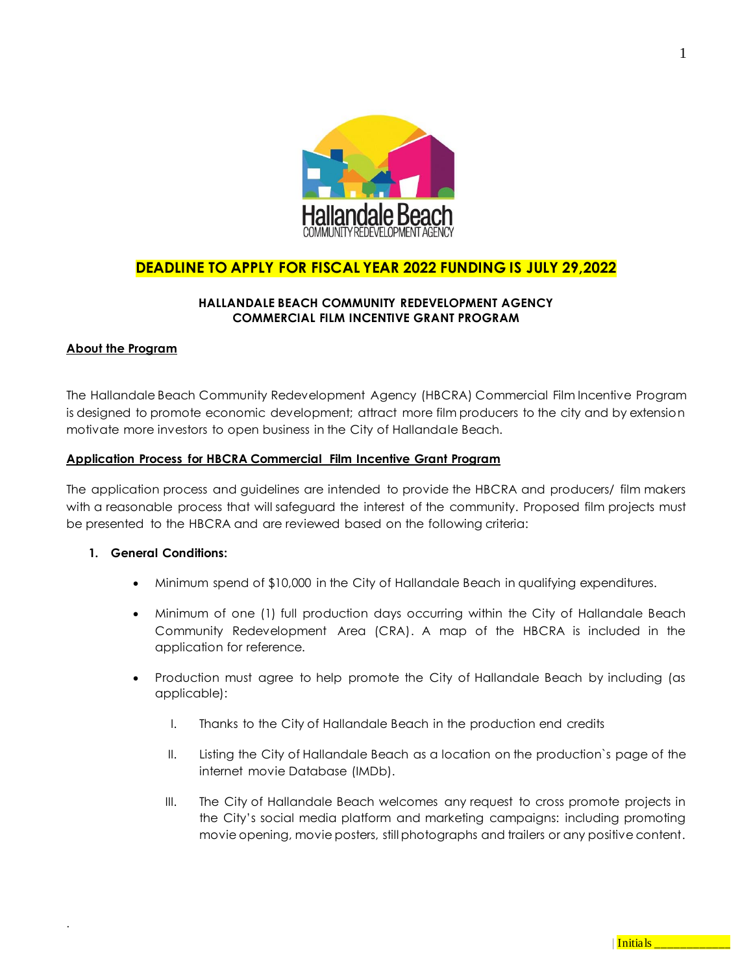

# **DEADLINE TO APPLY FOR FISCAL YEAR 2022 FUNDING IS JULY 29,2022**

## **HALLANDALE BEACH COMMUNITY REDEVELOPMENT AGENCY COMMERCIAL FILM INCENTIVE GRANT PROGRAM**

#### **About the Program**

The Hallandale Beach Community Redevelopment Agency (HBCRA) Commercial Film Incentive Program is designed to promote economic development; attract more film producers to the city and by extension motivate more investors to open business in the City of Hallandale Beach.

#### **Application Process for HBCRA Commercial Film Incentive Grant Program**

The application process and guidelines are intended to provide the HBCRA and producers/ film makers with a reasonable process that will safeguard the interest of the community. Proposed film projects must be presented to the HBCRA and are reviewed based on the following criteria:

#### **1. General Conditions:**

- Minimum spend of \$10,000 in the City of Hallandale Beach in qualifying expenditures.
- Minimum of one (1) full production days occurring within the City of Hallandale Beach Community Redevelopment Area (CRA). A map of the HBCRA is included in the application for reference.
- Production must agree to help promote the City of Hallandale Beach by including (as applicable):
	- I. Thanks to the City of Hallandale Beach in the production end credits
	- II. Listing the City of Hallandale Beach as a location on the production`s page of the internet movie Database (IMDb).
	- III. The City of Hallandale Beach welcomes any request to cross promote projects in the City's social media platform and marketing campaigns: including promoting movie opening, movie posters, still photographs and trailers or any positive content.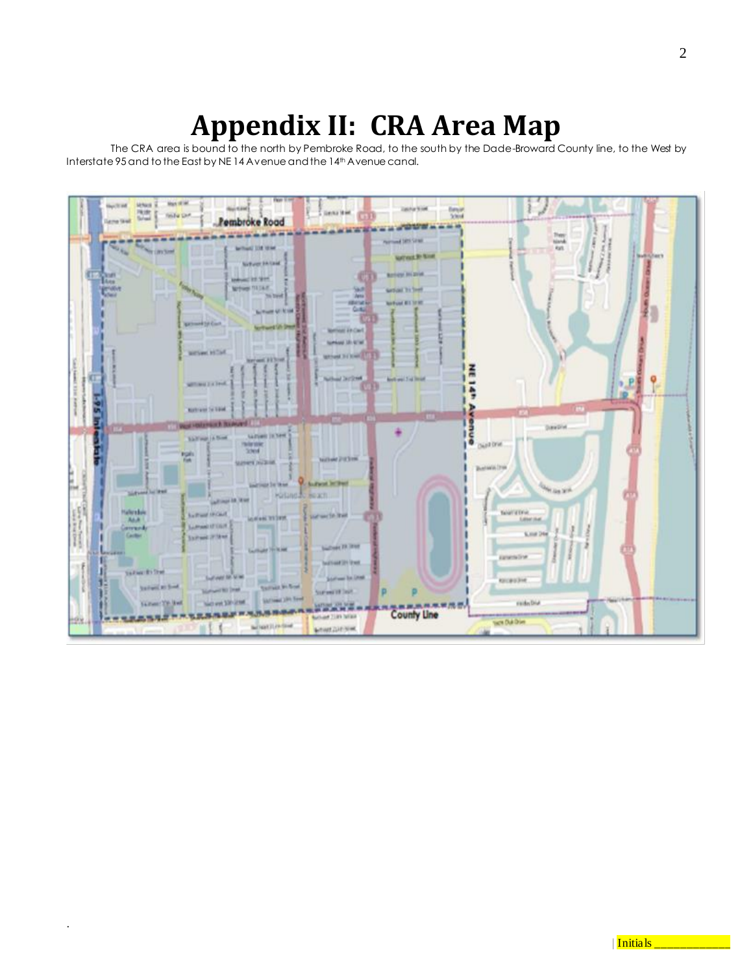# **Appendix II: CRA Area Map**

The CRA area is bound to the north by Pembroke Road, to the south by the Dade-Broward County line, to the West by Interstate 95 and to the East by NE 14 Avenue and the 14<sup>th</sup> Avenue canal.

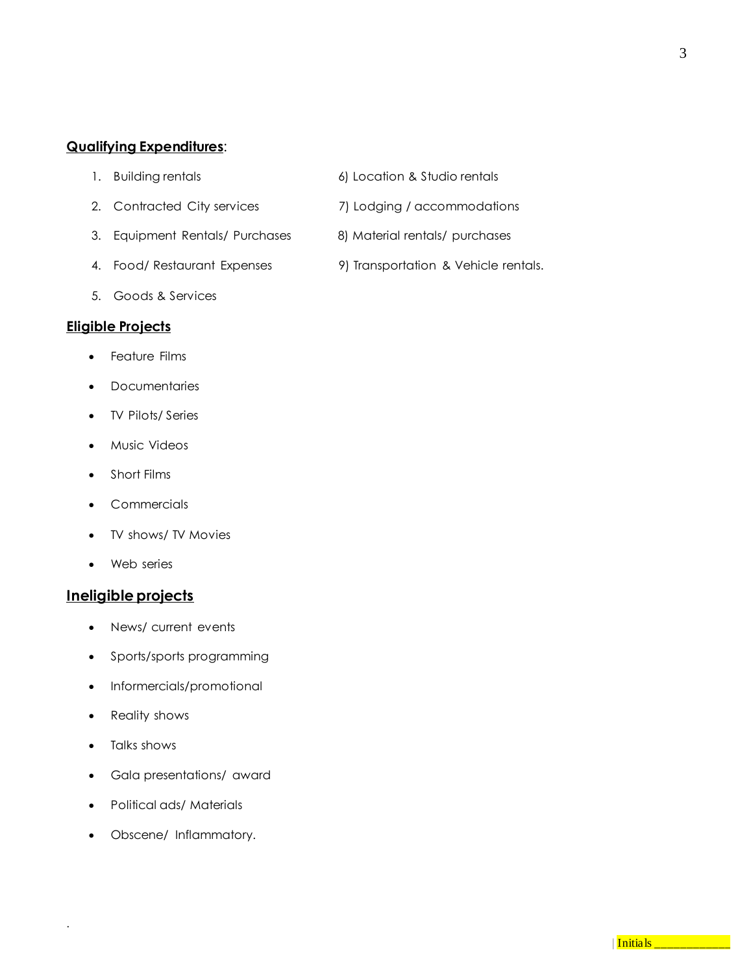# **Qualifying Expenditures**:

- 
- 
- 3. Equipment Rentals/ Purchases 8) Material rentals/ purchases
- 
- 5. Goods & Services

## **Eligible Projects**

- Feature Films
- **Documentaries**
- TV Pilots/ Series
- Music Videos
- Short Films
- **Commercials**
- TV shows/ TV Movies
- Web series

# **Ineligible projects**

- News/ current events
- Sports/sports programming
- Informercials/promotional
- Reality shows
- Talks shows

- Gala presentations/ award
- Political ads/ Materials
- Obscene/ Inflammatory.
- 1. Building rentals 6) Location & Studio rentals
- 2. Contracted City services 7) Lodging / accommodations
	-
- 4. Food/ Restaurant Expenses 9) Transportation & Vehicle rentals.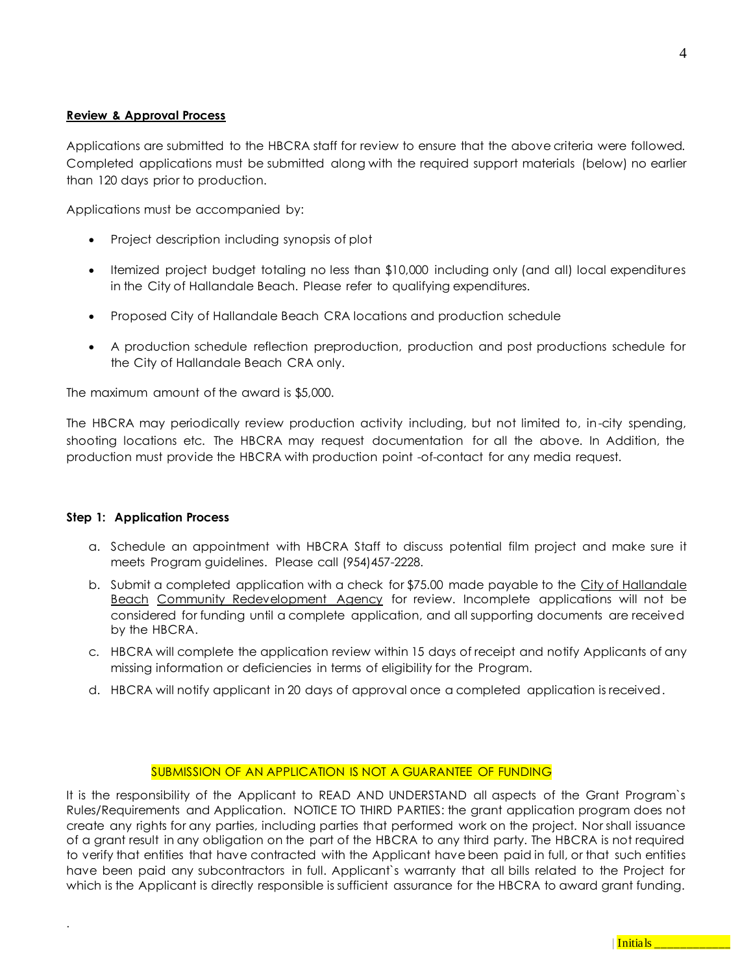#### **Review & Approval Process**

Applications are submitted to the HBCRA staff for review to ensure that the above criteria were followed. Completed applications must be submitted along with the required support materials (below) no earlier than 120 days prior to production.

Applications must be accompanied by:

- Project description including synopsis of plot
- Itemized project budget totaling no less than \$10,000 including only (and all) local expenditures in the City of Hallandale Beach. Please refer to qualifying expenditures.
- Proposed City of Hallandale Beach CRA locations and production schedule
- A production schedule reflection preproduction, production and post productions schedule for the City of Hallandale Beach CRA only.

The maximum amount of the award is \$5,000.

The HBCRA may periodically review production activity including, but not limited to, in-city spending, shooting locations etc. The HBCRA may request documentation for all the above. In Addition, the production must provide the HBCRA with production point -of-contact for any media request.

#### **Step 1: Application Process**

.

- a. Schedule an appointment with HBCRA Staff to discuss potential film project and make sure it meets Program guidelines. Please call (954)457-2228.
- b. Submit a completed application with a check for \$75.00 made payable to the City of Hallandale Beach Community Redevelopment Agency for review. Incomplete applications will not be considered for funding until a complete application, and all supporting documents are received by the HBCRA.
- c. HBCRA will complete the application review within 15 days of receipt and notify Applicants of any missing information or deficiencies in terms of eligibility for the Program.
- d. HBCRA will notify applicant in 20 days of approval once a completed application is received.

#### SUBMISSION OF AN APPLICATION IS NOT A GUARANTEE OF FUNDING

It is the responsibility of the Applicant to READ AND UNDERSTAND all aspects of the Grant Program`s Rules/Requirements and Application. NOTICE TO THIRD PARTIES: the grant application program does not create any rights for any parties, including parties that performed work on the project. Nor shall issuance of a grant result in any obligation on the part of the HBCRA to any third party. The HBCRA is not required to verify that entities that have contracted with the Applicant have been paid in full, or that such entities have been paid any subcontractors in full. Applicant`s warranty that all bills related to the Project for which is the Applicant is directly responsible is sufficient assurance for the HBCRA to award grant funding.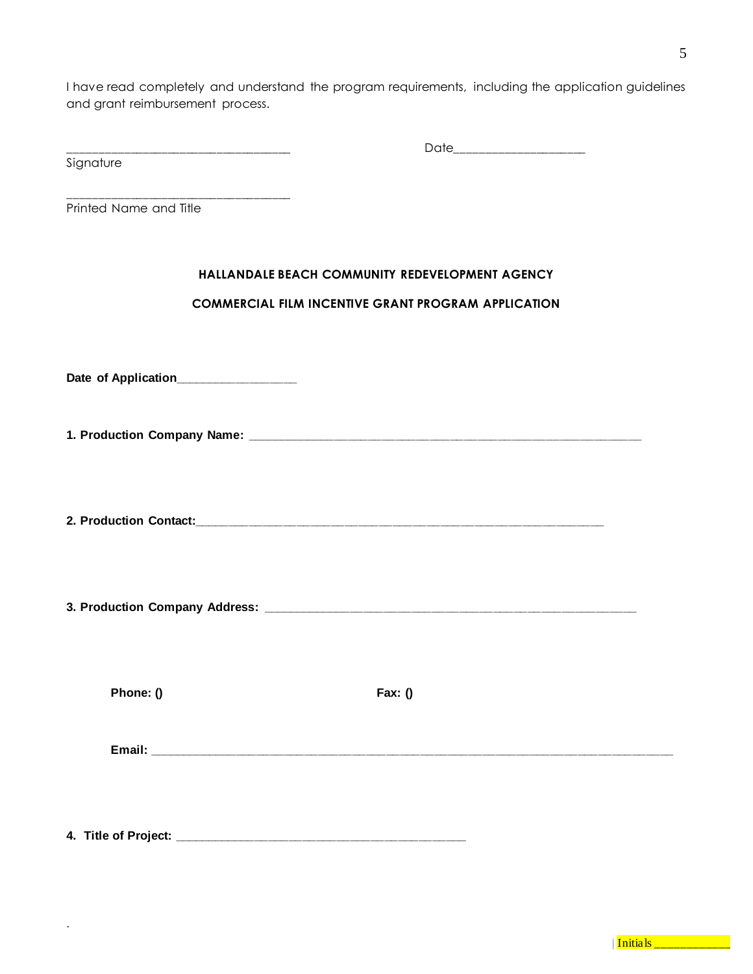I have read completely and understand the program requirements, including the application guidelines and grant reimbursement process.

| _____________<br>_____<br>_______<br>___ | ___________<br>_<br>__ |
|------------------------------------------|------------------------|
| $\sim$<br><b>11</b><br>ັ<br>. .          |                        |

Printed Name and Title

#### **HALLANDALE BEACH COMMUNITY REDEVELOPMENT AGENCY**

## **COMMERCIAL FILM INCENTIVE GRANT PROGRAM APPLICATION**

Date of Application\_\_\_\_\_\_\_\_\_\_\_\_\_\_\_\_

\_\_\_\_\_\_\_\_\_\_\_\_\_\_\_\_\_\_\_\_\_\_\_\_\_\_\_\_\_\_\_\_\_\_\_\_

**1. Production Company Name: \_\_\_\_\_\_\_\_\_\_\_\_\_\_\_\_\_\_\_\_\_\_\_\_\_\_\_\_\_\_\_\_\_\_\_\_\_\_\_\_\_\_\_\_\_\_\_\_\_\_\_\_\_\_\_\_\_\_**

**2. Production Contact:\_\_\_\_\_\_\_\_\_\_\_\_\_\_\_\_\_\_\_\_\_\_\_\_\_\_\_\_\_\_\_\_\_\_\_\_\_\_\_\_\_\_\_\_\_\_\_\_\_\_\_\_\_\_\_\_\_\_\_\_**

**3. Production Company Address: \_\_\_\_\_\_\_\_\_\_\_\_\_\_\_\_\_\_\_\_\_\_\_\_\_\_\_\_\_\_\_\_\_\_\_\_\_\_\_\_\_\_\_\_\_\_\_\_\_\_\_\_\_\_\_**

**Phone: () Fax: ()**

.

**Email: \_\_\_\_\_\_\_\_\_\_\_\_\_\_\_\_\_\_\_\_\_\_\_\_\_\_\_\_\_\_\_\_\_\_\_\_\_\_\_\_\_\_\_\_\_\_\_\_\_\_\_\_\_\_\_\_\_\_\_\_\_\_\_\_\_\_\_\_\_\_\_\_\_\_\_\_\_**

**4. Title of Project: \_\_\_\_\_\_\_\_\_\_\_\_\_\_\_\_\_\_\_\_\_\_\_\_\_\_\_\_\_\_\_\_\_\_\_\_\_\_\_\_\_\_\_**